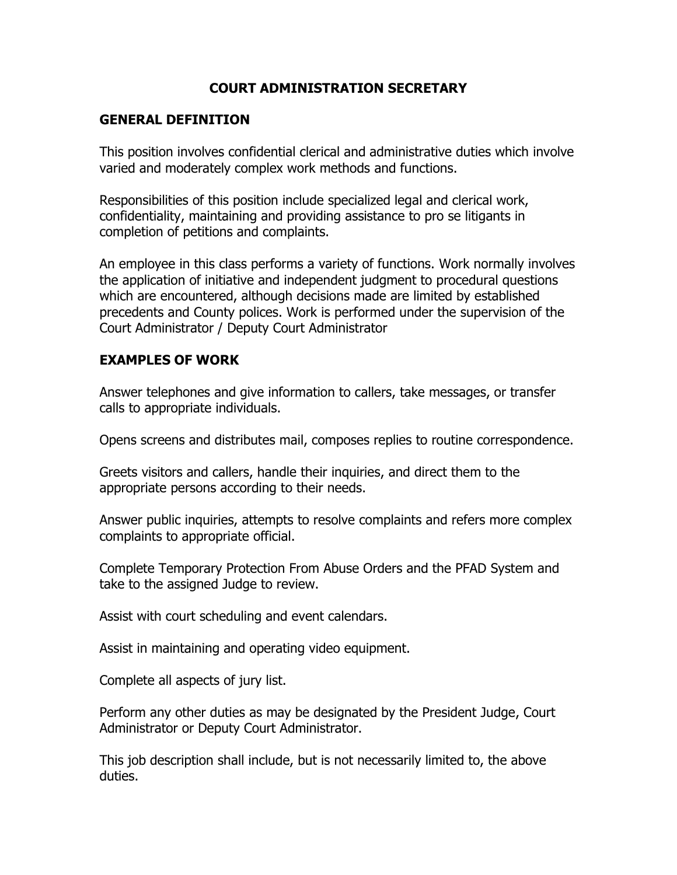## **COURT ADMINISTRATION SECRETARY**

## **GENERAL DEFINITION**

This position involves confidential clerical and administrative duties which involve varied and moderately complex work methods and functions.

Responsibilities of this position include specialized legal and clerical work, confidentiality, maintaining and providing assistance to pro se litigants in completion of petitions and complaints.

An employee in this class performs a variety of functions. Work normally involves the application of initiative and independent judgment to procedural questions which are encountered, although decisions made are limited by established precedents and County polices. Work is performed under the supervision of the Court Administrator / Deputy Court Administrator

## **EXAMPLES OF WORK**

Answer telephones and give information to callers, take messages, or transfer calls to appropriate individuals.

Opens screens and distributes mail, composes replies to routine correspondence.

Greets visitors and callers, handle their inquiries, and direct them to the appropriate persons according to their needs.

Answer public inquiries, attempts to resolve complaints and refers more complex complaints to appropriate official.

Complete Temporary Protection From Abuse Orders and the PFAD System and take to the assigned Judge to review.

Assist with court scheduling and event calendars.

Assist in maintaining and operating video equipment.

Complete all aspects of jury list.

Perform any other duties as may be designated by the President Judge, Court Administrator or Deputy Court Administrator.

This job description shall include, but is not necessarily limited to, the above duties.